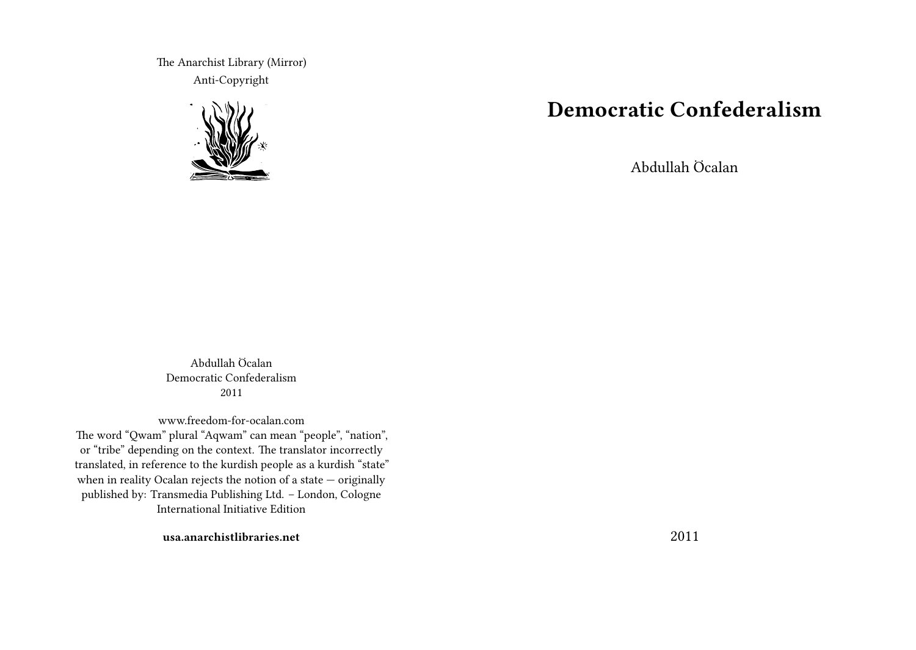The Anarchist Library (Mirror) Anti-Copyright



# **Democratic Confederalism**

Abdullah Öcalan

Abdullah Öcalan Democratic Confederalism 2011

www.freedom-for-ocalan.com The word "Qwam" plural "Aqwam" can mean "people", "nation", or "tribe" depending on the context. The translator incorrectly translated, in reference to the kurdish people as a kurdish "state" when in reality Ocalan rejects the notion of a state — originally published by: Transmedia Publishing Ltd. – London, Cologne International Initiative Edition

**usa.anarchistlibraries.net**

2011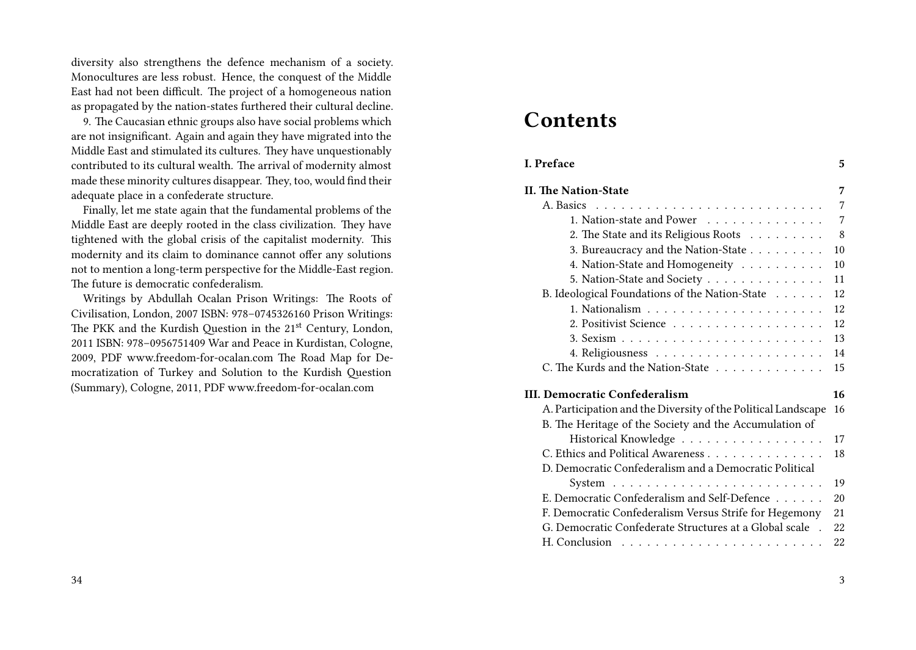diversity also strengthens the defence mechanism of a society. Monocultures are less robust. Hence, the conquest of the Middle East had not been difficult. The project of a homogeneous nation as propagated by the nation-states furthered their cultural decline.

9. The Caucasian ethnic groups also have social problems which are not insignificant. Again and again they have migrated into the Middle East and stimulated its cultures. They have unquestionably contributed to its cultural wealth. The arrival of modernity almost made these minority cultures disappear. They, too, would find their adequate place in a confederate structure.

Finally, let me state again that the fundamental problems of the Middle East are deeply rooted in the class civilization. They have tightened with the global crisis of the capitalist modernity. This modernity and its claim to dominance cannot offer any solutions not to mention a long-term perspective for the Middle-East region. The future is democratic confederalism.

Writings by Abdullah Ocalan Prison Writings: The Roots of Civilisation, London, 2007 ISBN: 978–0745326160 Prison Writings: The PKK and the Kurdish Question in the 21<sup>st</sup> Century, London, 2011 ISBN: 978–0956751409 War and Peace in Kurdistan, Cologne, 2009, PDF www.freedom-for-ocalan.com The Road Map for Democratization of Turkey and Solution to the Kurdish Question (Summary), Cologne, 2011, PDF www.freedom-for-ocalan.com

## **Contents**

| I. Preface                                                       | 5  |
|------------------------------------------------------------------|----|
| <b>II. The Nation-State</b>                                      | 7  |
| A. Basics                                                        | 7  |
| 1. Nation-state and Power                                        | 7  |
| 2. The State and its Religious Roots                             | 8  |
| 3. Bureaucracy and the Nation-State                              | 10 |
| 4. Nation-State and Homogeneity                                  | 10 |
| 5. Nation-State and Society                                      | 11 |
| B. Ideological Foundations of the Nation-State                   | 12 |
|                                                                  | 12 |
| 2. Positivist Science                                            | 12 |
|                                                                  | 13 |
|                                                                  | 14 |
| C. The Kurds and the Nation-State                                | 15 |
| III. Democratic Confederalism                                    | 16 |
| A. Participation and the Diversity of the Political Landscape    | 16 |
| B. The Heritage of the Society and the Accumulation of           |    |
| Historical Knowledge                                             | 17 |
| C. Ethics and Political Awareness                                | 18 |
| D. Democratic Confederalism and a Democratic Political           |    |
| System $\ldots \ldots \ldots \ldots \ldots \ldots \ldots \ldots$ | 19 |
| E. Democratic Confederalism and Self-Defence                     | 20 |
| F. Democratic Confederalism Versus Strife for Hegemony           | 21 |
| G. Democratic Confederate Structures at a Global scale.          | 22 |
|                                                                  | 22 |
|                                                                  |    |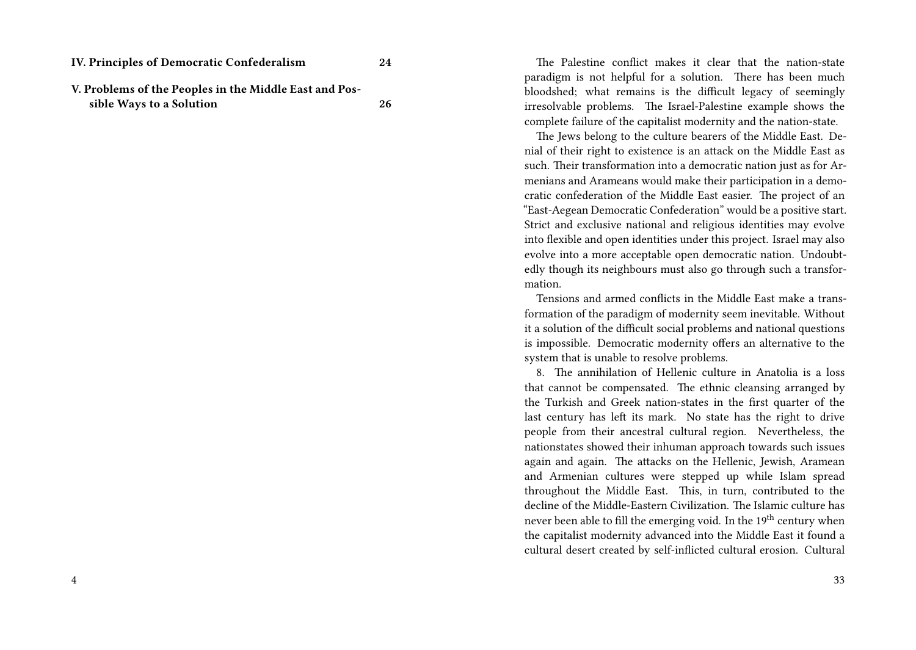| IV. Principles of Democratic Confederalism |  |
|--------------------------------------------|--|
|--------------------------------------------|--|

**V. Problems of the Peoples in the Middle East and Possible Ways to a Solution 26**

The Palestine conflict makes it clear that the nation-state paradigm is not helpful for a solution. There has been much bloodshed; what remains is the difficult legacy of seemingly irresolvable problems. The Israel-Palestine example shows the complete failure of the capitalist modernity and the nation-state.

The Jews belong to the culture bearers of the Middle East. Denial of their right to existence is an attack on the Middle East as such. Their transformation into a democratic nation just as for Armenians and Arameans would make their participation in a democratic confederation of the Middle East easier. The project of an "East-Aegean Democratic Confederation" would be a positive start. Strict and exclusive national and religious identities may evolve into flexible and open identities under this project. Israel may also evolve into a more acceptable open democratic nation. Undoubtedly though its neighbours must also go through such a transformation.

Tensions and armed conflicts in the Middle East make a transformation of the paradigm of modernity seem inevitable. Without it a solution of the difficult social problems and national questions is impossible. Democratic modernity offers an alternative to the system that is unable to resolve problems.

8. The annihilation of Hellenic culture in Anatolia is a loss that cannot be compensated. The ethnic cleansing arranged by the Turkish and Greek nation-states in the first quarter of the last century has left its mark. No state has the right to drive people from their ancestral cultural region. Nevertheless, the nationstates showed their inhuman approach towards such issues again and again. The attacks on the Hellenic, Jewish, Aramean and Armenian cultures were stepped up while Islam spread throughout the Middle East. This, in turn, contributed to the decline of the Middle-Eastern Civilization. The Islamic culture has never been able to fill the emerging void. In the 19<sup>th</sup> century when the capitalist modernity advanced into the Middle East it found a cultural desert created by self-inflicted cultural erosion. Cultural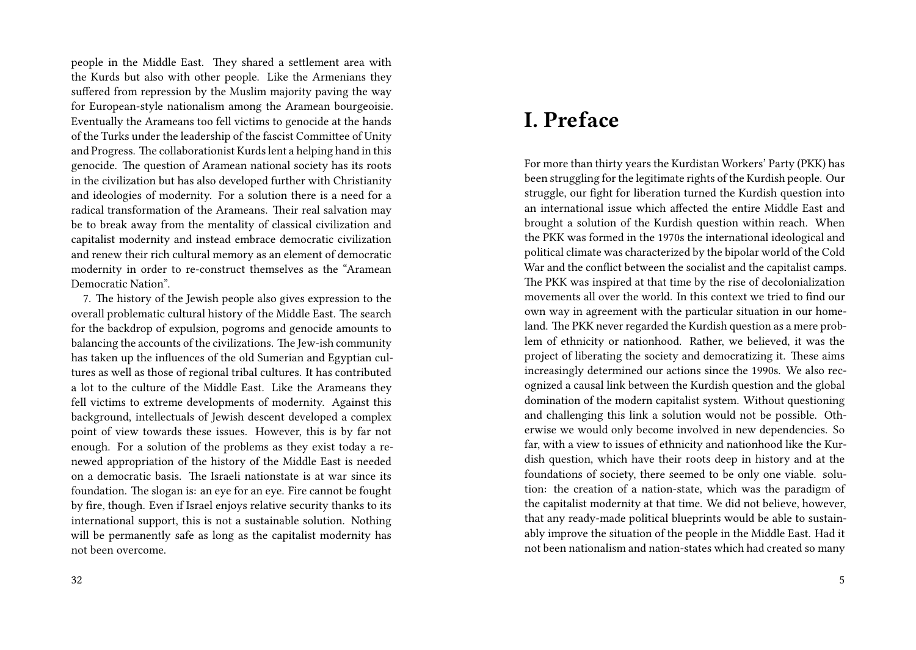people in the Middle East. They shared a settlement area with the Kurds but also with other people. Like the Armenians they suffered from repression by the Muslim majority paving the way for European-style nationalism among the Aramean bourgeoisie. Eventually the Arameans too fell victims to genocide at the hands of the Turks under the leadership of the fascist Committee of Unity and Progress. The collaborationist Kurds lent a helping hand in this genocide. The question of Aramean national society has its roots in the civilization but has also developed further with Christianity and ideologies of modernity. For a solution there is a need for a radical transformation of the Arameans. Their real salvation may be to break away from the mentality of classical civilization and capitalist modernity and instead embrace democratic civilization and renew their rich cultural memory as an element of democratic modernity in order to re-construct themselves as the "Aramean Democratic Nation".

7. The history of the Jewish people also gives expression to the overall problematic cultural history of the Middle East. The search for the backdrop of expulsion, pogroms and genocide amounts to balancing the accounts of the civilizations. The Jew-ish community has taken up the influences of the old Sumerian and Egyptian cultures as well as those of regional tribal cultures. It has contributed a lot to the culture of the Middle East. Like the Arameans they fell victims to extreme developments of modernity. Against this background, intellectuals of Jewish descent developed a complex point of view towards these issues. However, this is by far not enough. For a solution of the problems as they exist today a renewed appropriation of the history of the Middle East is needed on a democratic basis. The Israeli nationstate is at war since its foundation. The slogan is: an eye for an eye. Fire cannot be fought by fire, though. Even if Israel enjoys relative security thanks to its international support, this is not a sustainable solution. Nothing will be permanently safe as long as the capitalist modernity has not been overcome.

## **I. Preface**

For more than thirty years the Kurdistan Workers' Party (PKK) has been struggling for the legitimate rights of the Kurdish people. Our struggle, our fight for liberation turned the Kurdish question into an international issue which affected the entire Middle East and brought a solution of the Kurdish question within reach. When the PKK was formed in the 1970s the international ideological and political climate was characterized by the bipolar world of the Cold War and the conflict between the socialist and the capitalist camps. The PKK was inspired at that time by the rise of decolonialization movements all over the world. In this context we tried to find our own way in agreement with the particular situation in our homeland. The PKK never regarded the Kurdish question as a mere problem of ethnicity or nationhood. Rather, we believed, it was the project of liberating the society and democratizing it. These aims increasingly determined our actions since the 1990s. We also recognized a causal link between the Kurdish question and the global domination of the modern capitalist system. Without questioning and challenging this link a solution would not be possible. Otherwise we would only become involved in new dependencies. So far, with a view to issues of ethnicity and nationhood like the Kurdish question, which have their roots deep in history and at the foundations of society, there seemed to be only one viable. solution: the creation of a nation-state, which was the paradigm of the capitalist modernity at that time. We did not believe, however, that any ready-made political blueprints would be able to sustainably improve the situation of the people in the Middle East. Had it not been nationalism and nation-states which had created so many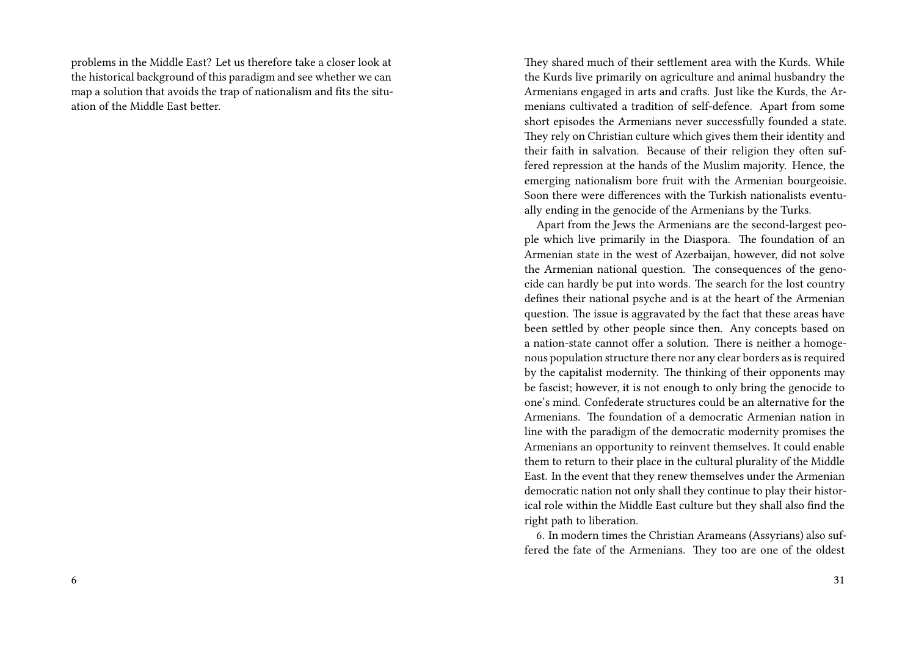problems in the Middle East? Let us therefore take a closer look at the historical background of this paradigm and see whether we can map a solution that avoids the trap of nationalism and fits the situation of the Middle East better.

They shared much of their settlement area with the Kurds. While the Kurds live primarily on agriculture and animal husbandry the Armenians engaged in arts and crafts. Just like the Kurds, the Armenians cultivated a tradition of self-defence. Apart from some short episodes the Armenians never successfully founded a state. They rely on Christian culture which gives them their identity and their faith in salvation. Because of their religion they often suffered repression at the hands of the Muslim majority. Hence, the emerging nationalism bore fruit with the Armenian bourgeoisie. Soon there were differences with the Turkish nationalists eventually ending in the genocide of the Armenians by the Turks.

Apart from the Jews the Armenians are the second-largest people which live primarily in the Diaspora. The foundation of an Armenian state in the west of Azerbaijan, however, did not solve the Armenian national question. The consequences of the genocide can hardly be put into words. The search for the lost country defines their national psyche and is at the heart of the Armenian question. The issue is aggravated by the fact that these areas have been settled by other people since then. Any concepts based on a nation-state cannot offer a solution. There is neither a homogenous population structure there nor any clear borders as is required by the capitalist modernity. The thinking of their opponents may be fascist; however, it is not enough to only bring the genocide to one's mind. Confederate structures could be an alternative for the Armenians. The foundation of a democratic Armenian nation in line with the paradigm of the democratic modernity promises the Armenians an opportunity to reinvent themselves. It could enable them to return to their place in the cultural plurality of the Middle East. In the event that they renew themselves under the Armenian democratic nation not only shall they continue to play their historical role within the Middle East culture but they shall also find the right path to liberation.

6. In modern times the Christian Arameans (Assyrians) also suffered the fate of the Armenians. They too are one of the oldest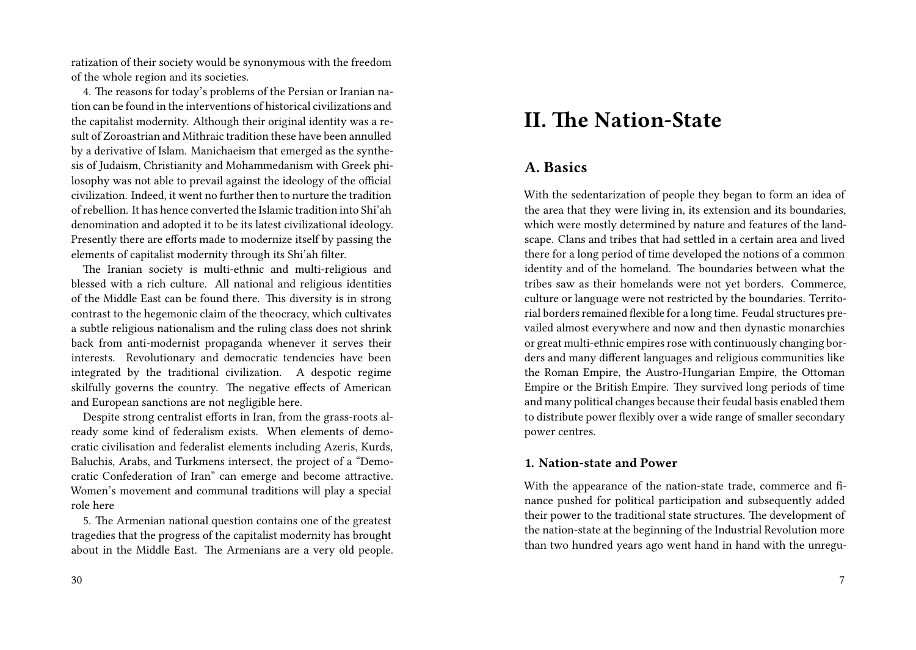ratization of their society would be synonymous with the freedom of the whole region and its societies.

4. The reasons for today's problems of the Persian or Iranian nation can be found in the interventions of historical civilizations and the capitalist modernity. Although their original identity was a result of Zoroastrian and Mithraic tradition these have been annulled by a derivative of Islam. Manichaeism that emerged as the synthesis of Judaism, Christianity and Mohammedanism with Greek philosophy was not able to prevail against the ideology of the official civilization. Indeed, it went no further then to nurture the tradition of rebellion. It has hence converted the Islamic tradition into Shi'ah denomination and adopted it to be its latest civilizational ideology. Presently there are efforts made to modernize itself by passing the elements of capitalist modernity through its Shi'ah filter.

The Iranian society is multi-ethnic and multi-religious and blessed with a rich culture. All national and religious identities of the Middle East can be found there. This diversity is in strong contrast to the hegemonic claim of the theocracy, which cultivates a subtle religious nationalism and the ruling class does not shrink back from anti-modernist propaganda whenever it serves their interests. Revolutionary and democratic tendencies have been integrated by the traditional civilization. A despotic regime skilfully governs the country. The negative effects of American and European sanctions are not negligible here.

Despite strong centralist efforts in Iran, from the grass-roots already some kind of federalism exists. When elements of democratic civilisation and federalist elements including Azeris, Kurds, Baluchis, Arabs, and Turkmens intersect, the project of a "Democratic Confederation of Iran" can emerge and become attractive. Women's movement and communal traditions will play a special role here

5. The Armenian national question contains one of the greatest tragedies that the progress of the capitalist modernity has brought about in the Middle East. The Armenians are a very old people.

## **II. The Nation-State**

### **A. Basics**

With the sedentarization of people they began to form an idea of the area that they were living in, its extension and its boundaries, which were mostly determined by nature and features of the landscape. Clans and tribes that had settled in a certain area and lived there for a long period of time developed the notions of a common identity and of the homeland. The boundaries between what the tribes saw as their homelands were not yet borders. Commerce, culture or language were not restricted by the boundaries. Territorial borders remained flexible for a long time. Feudal structures prevailed almost everywhere and now and then dynastic monarchies or great multi-ethnic empires rose with continuously changing borders and many different languages and religious communities like the Roman Empire, the Austro-Hungarian Empire, the Ottoman Empire or the British Empire. They survived long periods of time and many political changes because their feudal basis enabled them to distribute power flexibly over a wide range of smaller secondary power centres.

### **1. Nation-state and Power**

With the appearance of the nation-state trade, commerce and finance pushed for political participation and subsequently added their power to the traditional state structures. The development of the nation-state at the beginning of the Industrial Revolution more than two hundred years ago went hand in hand with the unregu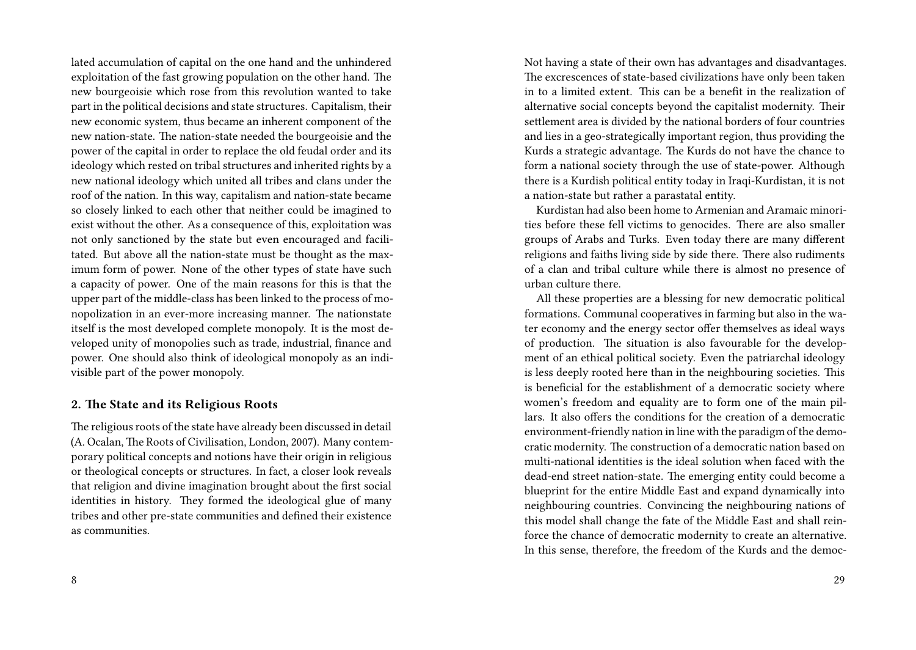lated accumulation of capital on the one hand and the unhindered exploitation of the fast growing population on the other hand. The new bourgeoisie which rose from this revolution wanted to take part in the political decisions and state structures. Capitalism, their new economic system, thus became an inherent component of the new nation-state. The nation-state needed the bourgeoisie and the power of the capital in order to replace the old feudal order and its ideology which rested on tribal structures and inherited rights by a new national ideology which united all tribes and clans under the roof of the nation. In this way, capitalism and nation-state became so closely linked to each other that neither could be imagined to exist without the other. As a consequence of this, exploitation was not only sanctioned by the state but even encouraged and facilitated. But above all the nation-state must be thought as the maximum form of power. None of the other types of state have such a capacity of power. One of the main reasons for this is that the upper part of the middle-class has been linked to the process of monopolization in an ever-more increasing manner. The nationstate itself is the most developed complete monopoly. It is the most developed unity of monopolies such as trade, industrial, finance and power. One should also think of ideological monopoly as an indivisible part of the power monopoly.

### **2. The State and its Religious Roots**

The religious roots of the state have already been discussed in detail (A. Ocalan, The Roots of Civilisation, London, 2007). Many contemporary political concepts and notions have their origin in religious or theological concepts or structures. In fact, a closer look reveals that religion and divine imagination brought about the first social identities in history. They formed the ideological glue of many tribes and other pre-state communities and defined their existence as communities.

Not having a state of their own has advantages and disadvantages. The excrescences of state-based civilizations have only been taken in to a limited extent. This can be a benefit in the realization of alternative social concepts beyond the capitalist modernity. Their settlement area is divided by the national borders of four countries and lies in a geo-strategically important region, thus providing the Kurds a strategic advantage. The Kurds do not have the chance to form a national society through the use of state-power. Although there is a Kurdish political entity today in Iraqi-Kurdistan, it is not a nation-state but rather a parastatal entity.

Kurdistan had also been home to Armenian and Aramaic minorities before these fell victims to genocides. There are also smaller groups of Arabs and Turks. Even today there are many different religions and faiths living side by side there. There also rudiments of a clan and tribal culture while there is almost no presence of urban culture there.

All these properties are a blessing for new democratic political formations. Communal cooperatives in farming but also in the water economy and the energy sector offer themselves as ideal ways of production. The situation is also favourable for the development of an ethical political society. Even the patriarchal ideology is less deeply rooted here than in the neighbouring societies. This is beneficial for the establishment of a democratic society where women's freedom and equality are to form one of the main pillars. It also offers the conditions for the creation of a democratic environment-friendly nation in line with the paradigm of the democratic modernity. The construction of a democratic nation based on multi-national identities is the ideal solution when faced with the dead-end street nation-state. The emerging entity could become a blueprint for the entire Middle East and expand dynamically into neighbouring countries. Convincing the neighbouring nations of this model shall change the fate of the Middle East and shall reinforce the chance of democratic modernity to create an alternative. In this sense, therefore, the freedom of the Kurds and the democ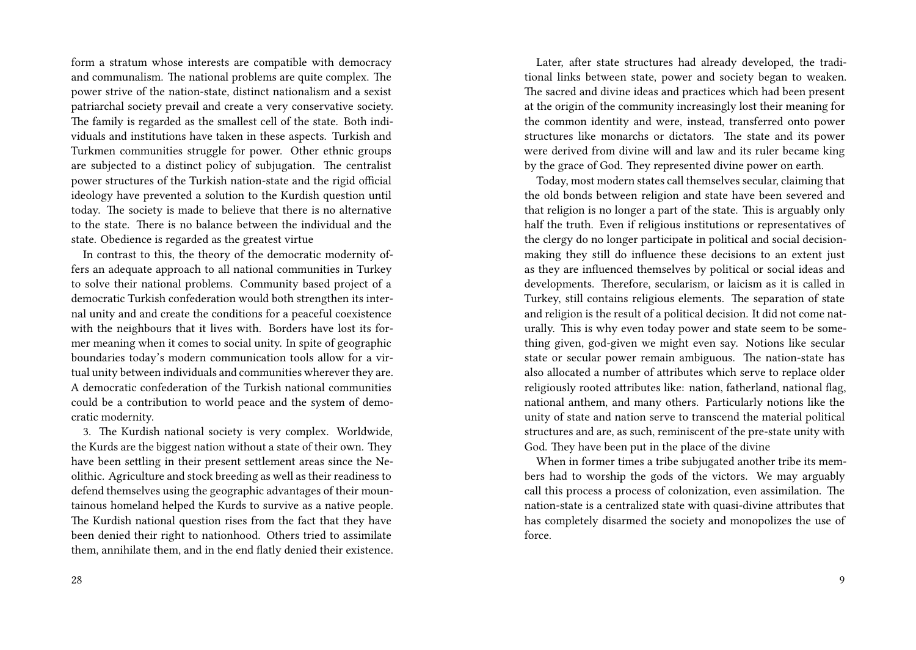form a stratum whose interests are compatible with democracy and communalism. The national problems are quite complex. The power strive of the nation-state, distinct nationalism and a sexist patriarchal society prevail and create a very conservative society. The family is regarded as the smallest cell of the state. Both individuals and institutions have taken in these aspects. Turkish and Turkmen communities struggle for power. Other ethnic groups are subjected to a distinct policy of subjugation. The centralist power structures of the Turkish nation-state and the rigid official ideology have prevented a solution to the Kurdish question until today. The society is made to believe that there is no alternative to the state. There is no balance between the individual and the state. Obedience is regarded as the greatest virtue

In contrast to this, the theory of the democratic modernity offers an adequate approach to all national communities in Turkey to solve their national problems. Community based project of a democratic Turkish confederation would both strengthen its internal unity and and create the conditions for a peaceful coexistence with the neighbours that it lives with. Borders have lost its former meaning when it comes to social unity. In spite of geographic boundaries today's modern communication tools allow for a virtual unity between individuals and communities wherever they are. A democratic confederation of the Turkish national communities could be a contribution to world peace and the system of democratic modernity.

3. The Kurdish national society is very complex. Worldwide, the Kurds are the biggest nation without a state of their own. They have been settling in their present settlement areas since the Neolithic. Agriculture and stock breeding as well as their readiness to defend themselves using the geographic advantages of their mountainous homeland helped the Kurds to survive as a native people. The Kurdish national question rises from the fact that they have been denied their right to nationhood. Others tried to assimilate them, annihilate them, and in the end flatly denied their existence.

Later, after state structures had already developed, the traditional links between state, power and society began to weaken. The sacred and divine ideas and practices which had been present at the origin of the community increasingly lost their meaning for the common identity and were, instead, transferred onto power structures like monarchs or dictators. The state and its power were derived from divine will and law and its ruler became king by the grace of God. They represented divine power on earth.

Today, most modern states call themselves secular, claiming that the old bonds between religion and state have been severed and that religion is no longer a part of the state. This is arguably only half the truth. Even if religious institutions or representatives of the clergy do no longer participate in political and social decisionmaking they still do influence these decisions to an extent just as they are influenced themselves by political or social ideas and developments. Therefore, secularism, or laicism as it is called in Turkey, still contains religious elements. The separation of state and religion is the result of a political decision. It did not come naturally. This is why even today power and state seem to be something given, god-given we might even say. Notions like secular state or secular power remain ambiguous. The nation-state has also allocated a number of attributes which serve to replace older religiously rooted attributes like: nation, fatherland, national flag, national anthem, and many others. Particularly notions like the unity of state and nation serve to transcend the material political structures and are, as such, reminiscent of the pre-state unity with God. They have been put in the place of the divine

When in former times a tribe subjugated another tribe its members had to worship the gods of the victors. We may arguably call this process a process of colonization, even assimilation. The nation-state is a centralized state with quasi-divine attributes that has completely disarmed the society and monopolizes the use of force.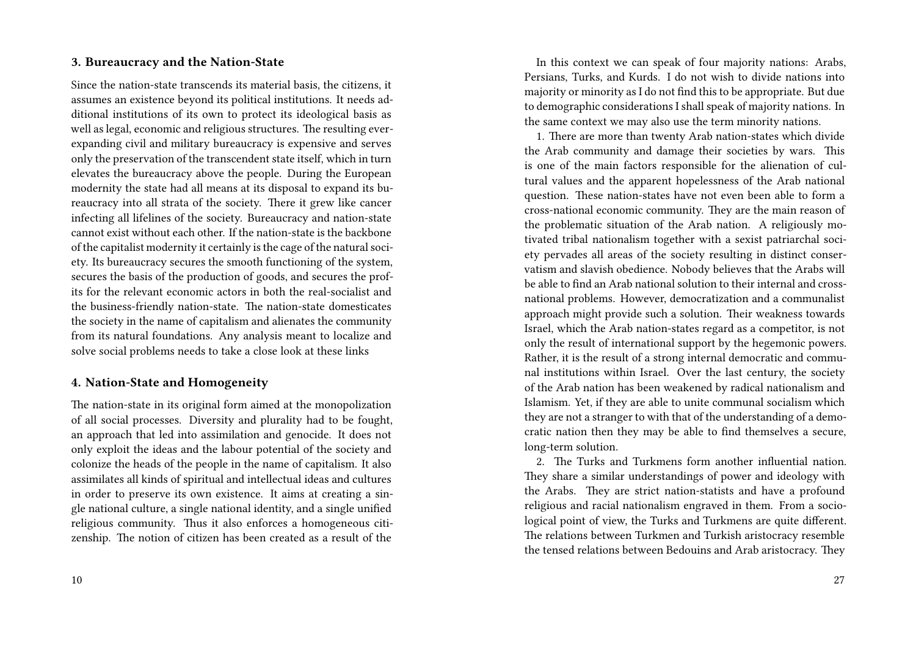### **3. Bureaucracy and the Nation-State**

Since the nation-state transcends its material basis, the citizens, it assumes an existence beyond its political institutions. It needs additional institutions of its own to protect its ideological basis as well as legal, economic and religious structures. The resulting everexpanding civil and military bureaucracy is expensive and serves only the preservation of the transcendent state itself, which in turn elevates the bureaucracy above the people. During the European modernity the state had all means at its disposal to expand its bureaucracy into all strata of the society. There it grew like cancer infecting all lifelines of the society. Bureaucracy and nation-state cannot exist without each other. If the nation-state is the backbone of the capitalist modernity it certainly is the cage of the natural society. Its bureaucracy secures the smooth functioning of the system, secures the basis of the production of goods, and secures the profits for the relevant economic actors in both the real-socialist and the business-friendly nation-state. The nation-state domesticates the society in the name of capitalism and alienates the community from its natural foundations. Any analysis meant to localize and solve social problems needs to take a close look at these links

### **4. Nation-State and Homogeneity**

The nation-state in its original form aimed at the monopolization of all social processes. Diversity and plurality had to be fought, an approach that led into assimilation and genocide. It does not only exploit the ideas and the labour potential of the society and colonize the heads of the people in the name of capitalism. It also assimilates all kinds of spiritual and intellectual ideas and cultures in order to preserve its own existence. It aims at creating a single national culture, a single national identity, and a single unified religious community. Thus it also enforces a homogeneous citizenship. The notion of citizen has been created as a result of the

In this context we can speak of four majority nations: Arabs, Persians, Turks, and Kurds. I do not wish to divide nations into majority or minority as I do not find this to be appropriate. But due to demographic considerations I shall speak of majority nations. In the same context we may also use the term minority nations.

1. There are more than twenty Arab nation-states which divide the Arab community and damage their societies by wars. This is one of the main factors responsible for the alienation of cultural values and the apparent hopelessness of the Arab national question. These nation-states have not even been able to form a cross-national economic community. They are the main reason of the problematic situation of the Arab nation. A religiously motivated tribal nationalism together with a sexist patriarchal society pervades all areas of the society resulting in distinct conservatism and slavish obedience. Nobody believes that the Arabs will be able to find an Arab national solution to their internal and crossnational problems. However, democratization and a communalist approach might provide such a solution. Their weakness towards Israel, which the Arab nation-states regard as a competitor, is not only the result of international support by the hegemonic powers. Rather, it is the result of a strong internal democratic and communal institutions within Israel. Over the last century, the society of the Arab nation has been weakened by radical nationalism and Islamism. Yet, if they are able to unite communal socialism which they are not a stranger to with that of the understanding of a democratic nation then they may be able to find themselves a secure, long-term solution.

2. The Turks and Turkmens form another influential nation. They share a similar understandings of power and ideology with the Arabs. They are strict nation-statists and have a profound religious and racial nationalism engraved in them. From a sociological point of view, the Turks and Turkmens are quite different. The relations between Turkmen and Turkish aristocracy resemble the tensed relations between Bedouins and Arab aristocracy. They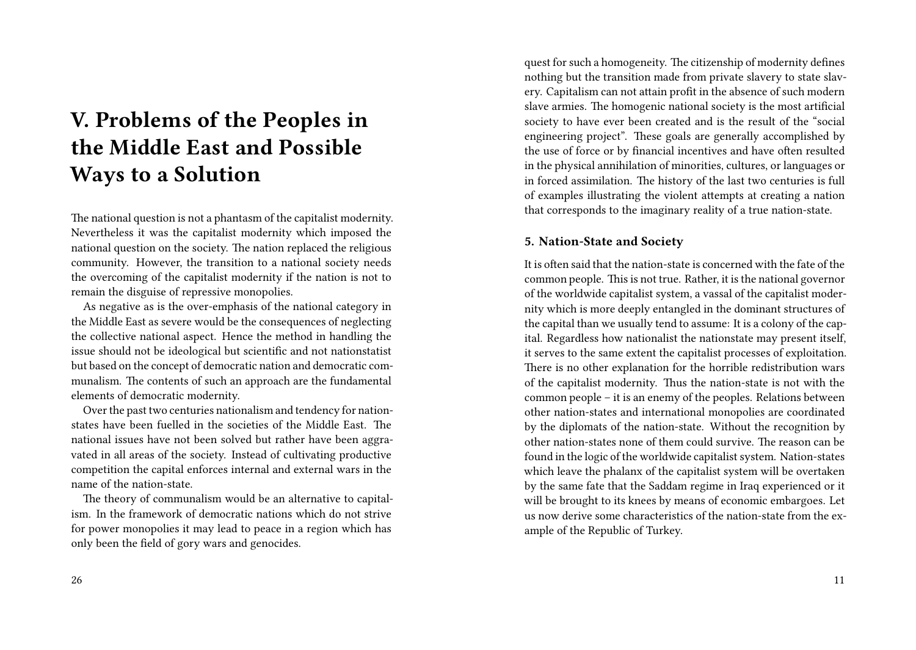# **V. Problems of the Peoples in the Middle East and Possible Ways to a Solution**

The national question is not a phantasm of the capitalist modernity. Nevertheless it was the capitalist modernity which imposed the national question on the society. The nation replaced the religious community. However, the transition to a national society needs the overcoming of the capitalist modernity if the nation is not to remain the disguise of repressive monopolies.

As negative as is the over-emphasis of the national category in the Middle East as severe would be the consequences of neglecting the collective national aspect. Hence the method in handling the issue should not be ideological but scientific and not nationstatist but based on the concept of democratic nation and democratic communalism. The contents of such an approach are the fundamental elements of democratic modernity.

Over the past two centuries nationalism and tendency for nationstates have been fuelled in the societies of the Middle East. The national issues have not been solved but rather have been aggravated in all areas of the society. Instead of cultivating productive competition the capital enforces internal and external wars in the name of the nation-state.

The theory of communalism would be an alternative to capitalism. In the framework of democratic nations which do not strive for power monopolies it may lead to peace in a region which has only been the field of gory wars and genocides.

quest for such a homogeneity. The citizenship of modernity defines nothing but the transition made from private slavery to state slavery. Capitalism can not attain profit in the absence of such modern slave armies. The homogenic national society is the most artificial society to have ever been created and is the result of the "social engineering project". These goals are generally accomplished by the use of force or by financial incentives and have often resulted in the physical annihilation of minorities, cultures, or languages or in forced assimilation. The history of the last two centuries is full of examples illustrating the violent attempts at creating a nation that corresponds to the imaginary reality of a true nation-state.

### **5. Nation-State and Society**

It is often said that the nation-state is concerned with the fate of the common people. This is not true. Rather, it is the national governor of the worldwide capitalist system, a vassal of the capitalist modernity which is more deeply entangled in the dominant structures of the capital than we usually tend to assume: It is a colony of the capital. Regardless how nationalist the nationstate may present itself, it serves to the same extent the capitalist processes of exploitation. There is no other explanation for the horrible redistribution wars of the capitalist modernity. Thus the nation-state is not with the common people – it is an enemy of the peoples. Relations between other nation-states and international monopolies are coordinated by the diplomats of the nation-state. Without the recognition by other nation-states none of them could survive. The reason can be found in the logic of the worldwide capitalist system. Nation-states which leave the phalanx of the capitalist system will be overtaken by the same fate that the Saddam regime in Iraq experienced or it will be brought to its knees by means of economic embargoes. Let us now derive some characteristics of the nation-state from the example of the Republic of Turkey.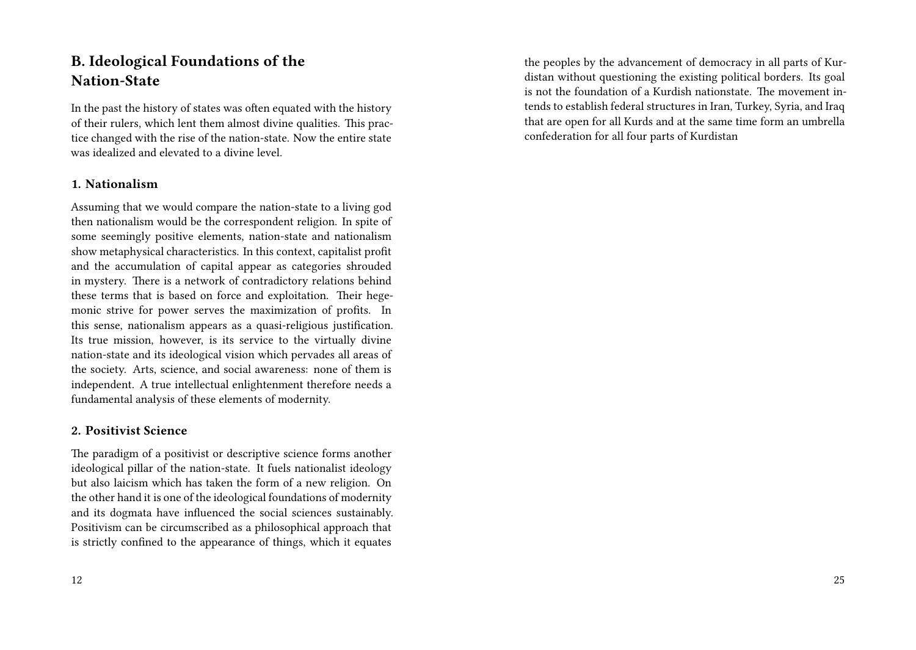## **B. Ideological Foundations of the Nation-State**

In the past the history of states was often equated with the history of their rulers, which lent them almost divine qualities. This practice changed with the rise of the nation-state. Now the entire state was idealized and elevated to a divine level.

### **1. Nationalism**

Assuming that we would compare the nation-state to a living god then nationalism would be the correspondent religion. In spite of some seemingly positive elements, nation-state and nationalism show metaphysical characteristics. In this context, capitalist profit and the accumulation of capital appear as categories shrouded in mystery. There is a network of contradictory relations behind these terms that is based on force and exploitation. Their hegemonic strive for power serves the maximization of profits. In this sense, nationalism appears as a quasi-religious justification. Its true mission, however, is its service to the virtually divine nation-state and its ideological vision which pervades all areas of the society. Arts, science, and social awareness: none of them is independent. A true intellectual enlightenment therefore needs a fundamental analysis of these elements of modernity.

### **2. Positivist Science**

The paradigm of a positivist or descriptive science forms another ideological pillar of the nation-state. It fuels nationalist ideology but also laicism which has taken the form of a new religion. On the other hand it is one of the ideological foundations of modernity and its dogmata have influenced the social sciences sustainably. Positivism can be circumscribed as a philosophical approach that is strictly confined to the appearance of things, which it equates

the peoples by the advancement of democracy in all parts of Kurdistan without questioning the existing political borders. Its goal is not the foundation of a Kurdish nationstate. The movement intends to establish federal structures in Iran, Turkey, Syria, and Iraq that are open for all Kurds and at the same time form an umbrella confederation for all four parts of Kurdistan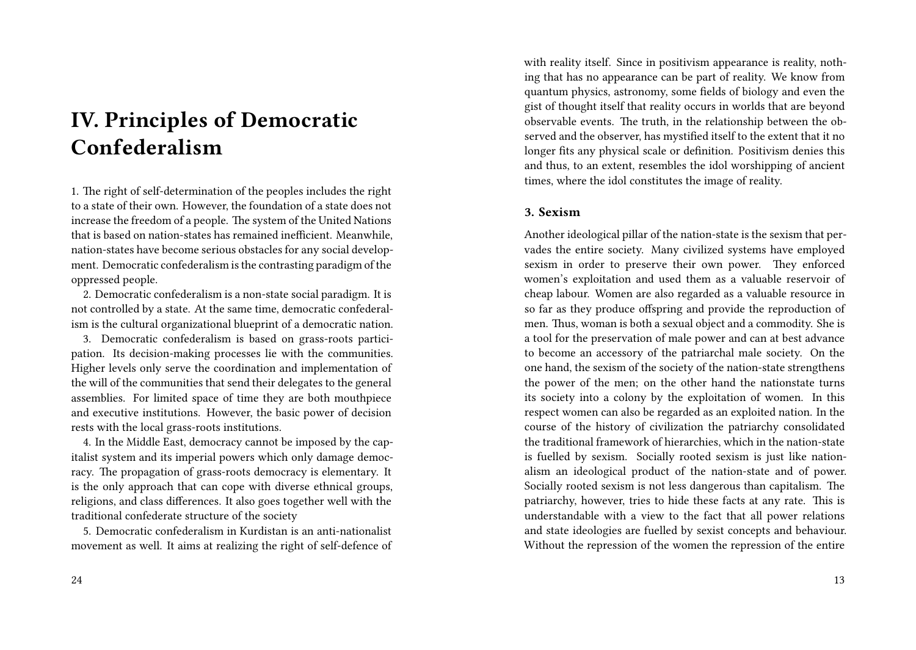# **IV. Principles of Democratic Confederalism**

1. The right of self-determination of the peoples includes the right to a state of their own. However, the foundation of a state does not increase the freedom of a people. The system of the United Nations that is based on nation-states has remained inefficient. Meanwhile, nation-states have become serious obstacles for any social development. Democratic confederalism is the contrasting paradigm of the oppressed people.

2. Democratic confederalism is a non-state social paradigm. It is not controlled by a state. At the same time, democratic confederalism is the cultural organizational blueprint of a democratic nation.

3. Democratic confederalism is based on grass-roots participation. Its decision-making processes lie with the communities. Higher levels only serve the coordination and implementation of the will of the communities that send their delegates to the general assemblies. For limited space of time they are both mouthpiece and executive institutions. However, the basic power of decision rests with the local grass-roots institutions.

4. In the Middle East, democracy cannot be imposed by the capitalist system and its imperial powers which only damage democracy. The propagation of grass-roots democracy is elementary. It is the only approach that can cope with diverse ethnical groups, religions, and class differences. It also goes together well with the traditional confederate structure of the society

5. Democratic confederalism in Kurdistan is an anti-nationalist movement as well. It aims at realizing the right of self-defence of with reality itself. Since in positivism appearance is reality, nothing that has no appearance can be part of reality. We know from quantum physics, astronomy, some fields of biology and even the gist of thought itself that reality occurs in worlds that are beyond observable events. The truth, in the relationship between the observed and the observer, has mystified itself to the extent that it no longer fits any physical scale or definition. Positivism denies this and thus, to an extent, resembles the idol worshipping of ancient times, where the idol constitutes the image of reality.

#### **3. Sexism**

Another ideological pillar of the nation-state is the sexism that pervades the entire society. Many civilized systems have employed sexism in order to preserve their own power. They enforced women's exploitation and used them as a valuable reservoir of cheap labour. Women are also regarded as a valuable resource in so far as they produce offspring and provide the reproduction of men. Thus, woman is both a sexual object and a commodity. She is a tool for the preservation of male power and can at best advance to become an accessory of the patriarchal male society. On the one hand, the sexism of the society of the nation-state strengthens the power of the men; on the other hand the nationstate turns its society into a colony by the exploitation of women. In this respect women can also be regarded as an exploited nation. In the course of the history of civilization the patriarchy consolidated the traditional framework of hierarchies, which in the nation-state is fuelled by sexism. Socially rooted sexism is just like nationalism an ideological product of the nation-state and of power. Socially rooted sexism is not less dangerous than capitalism. The patriarchy, however, tries to hide these facts at any rate. This is understandable with a view to the fact that all power relations and state ideologies are fuelled by sexist concepts and behaviour. Without the repression of the women the repression of the entire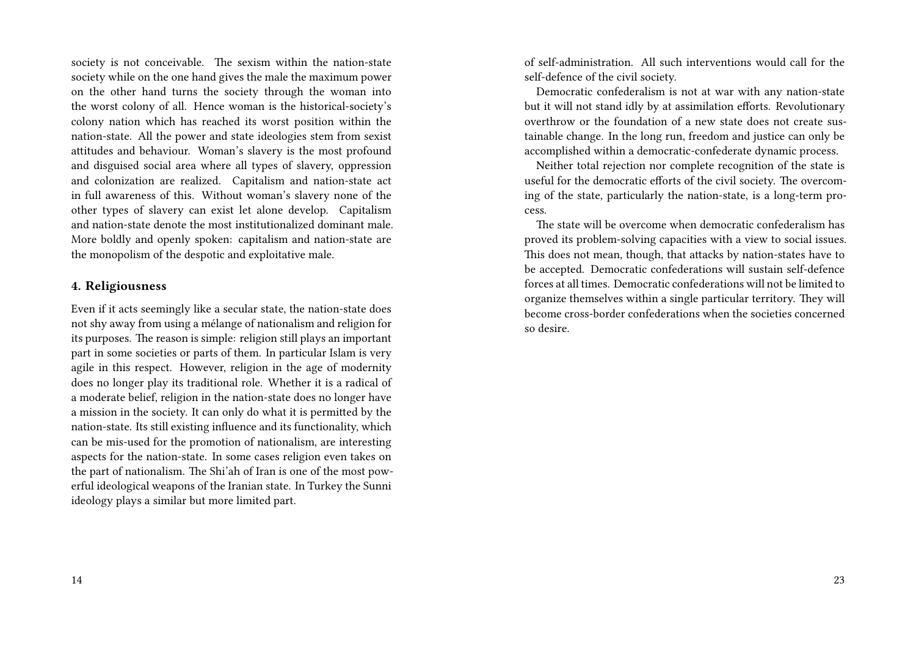society is not conceivable. The sexism within the nation-state society while on the one hand gives the male the maximum power on the other hand turns the society through the woman into the worst colony of all. Hence woman is the historical-society's colony nation which has reached its worst position within the nation-state. All the power and state ideologies stem from sexist attitudes and behaviour. Woman's slavery is the most profound and disguised social area where all types of slavery, oppression and colonization are realized. Capitalism and nation-state act in full awareness of this. Without woman's slavery none of the other types of slavery can exist let alone develop. Capitalism and nation-state denote the most institutionalized dominant male. More boldly and openly spoken: capitalism and nation-state are the monopolism of the despotic and exploitative male.

#### **4. Religiousness**

Even if it acts seemingly like a secular state, the nation-state does not shy away from using a mélange of nationalism and religion for its purposes. The reason is simple: religion still plays an important part in some societies or parts of them. In particular Islam is very agile in this respect. However, religion in the age of modernity does no longer play its traditional role. Whether it is a radical of a moderate belief, religion in the nation-state does no longer have a mission in the society. It can only do what it is permitted by the nation-state. Its still existing influence and its functionality, which can be mis-used for the promotion of nationalism, are interesting aspects for the nation-state. In some cases religion even takes on the part of nationalism. The Shi'ah of Iran is one of the most powerful ideological weapons of the Iranian state. In Turkey the Sunni ideology plays a similar but more limited part.

of self-administration. All such interventions would call for the self-defence of the civil society.

Democratic confederalism is not at war with any nation-state but it will not stand idly by at assimilation efforts. Revolutionary overthrow or the foundation of a new state does not create sustainable change. In the long run, freedom and justice can only be accomplished within a democratic-confederate dynamic process.

Neither total rejection nor complete recognition of the state is useful for the democratic efforts of the civil society. The overcoming of the state, particularly the nation-state, is a long-term process.

The state will be overcome when democratic confederalism has proved its problem-solving capacities with a view to social issues. This does not mean, though, that attacks by nation-states have to be accepted. Democratic confederations will sustain self-defence forces at all times. Democratic confederations will not be limited to organize themselves within a single particular territory. They will become cross-border confederations when the societies concerned so desire.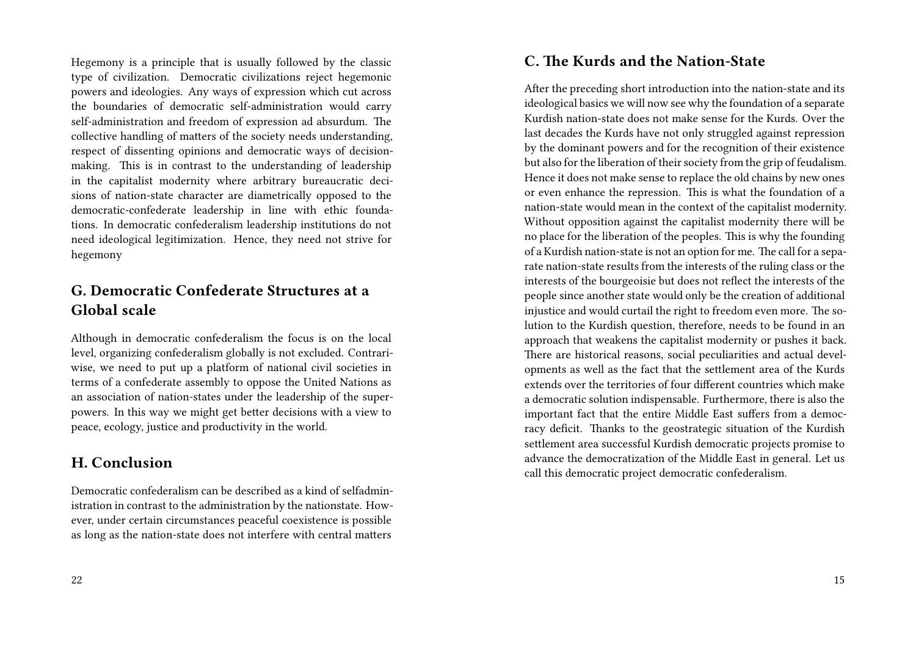Hegemony is a principle that is usually followed by the classic type of civilization. Democratic civilizations reject hegemonic powers and ideologies. Any ways of expression which cut across the boundaries of democratic self-administration would carry self-administration and freedom of expression ad absurdum. The collective handling of matters of the society needs understanding, respect of dissenting opinions and democratic ways of decisionmaking. This is in contrast to the understanding of leadership in the capitalist modernity where arbitrary bureaucratic decisions of nation-state character are diametrically opposed to the democratic-confederate leadership in line with ethic foundations. In democratic confederalism leadership institutions do not need ideological legitimization. Hence, they need not strive for hegemony

## **G. Democratic Confederate Structures at a Global scale**

Although in democratic confederalism the focus is on the local level, organizing confederalism globally is not excluded. Contrariwise, we need to put up a platform of national civil societies in terms of a confederate assembly to oppose the United Nations as an association of nation-states under the leadership of the superpowers. In this way we might get better decisions with a view to peace, ecology, justice and productivity in the world.

### **H. Conclusion**

Democratic confederalism can be described as a kind of selfadministration in contrast to the administration by the nationstate. However, under certain circumstances peaceful coexistence is possible as long as the nation-state does not interfere with central matters

## **C. The Kurds and the Nation-State**

After the preceding short introduction into the nation-state and its ideological basics we will now see why the foundation of a separate Kurdish nation-state does not make sense for the Kurds. Over the last decades the Kurds have not only struggled against repression by the dominant powers and for the recognition of their existence but also for the liberation of their society from the grip of feudalism. Hence it does not make sense to replace the old chains by new ones or even enhance the repression. This is what the foundation of a nation-state would mean in the context of the capitalist modernity. Without opposition against the capitalist modernity there will be no place for the liberation of the peoples. This is why the founding of a Kurdish nation-state is not an option for me. The call for a separate nation-state results from the interests of the ruling class or the interests of the bourgeoisie but does not reflect the interests of the people since another state would only be the creation of additional injustice and would curtail the right to freedom even more. The solution to the Kurdish question, therefore, needs to be found in an approach that weakens the capitalist modernity or pushes it back. There are historical reasons, social peculiarities and actual developments as well as the fact that the settlement area of the Kurds extends over the territories of four different countries which make a democratic solution indispensable. Furthermore, there is also the important fact that the entire Middle East suffers from a democracy deficit. Thanks to the geostrategic situation of the Kurdish settlement area successful Kurdish democratic projects promise to advance the democratization of the Middle East in general. Let us call this democratic project democratic confederalism.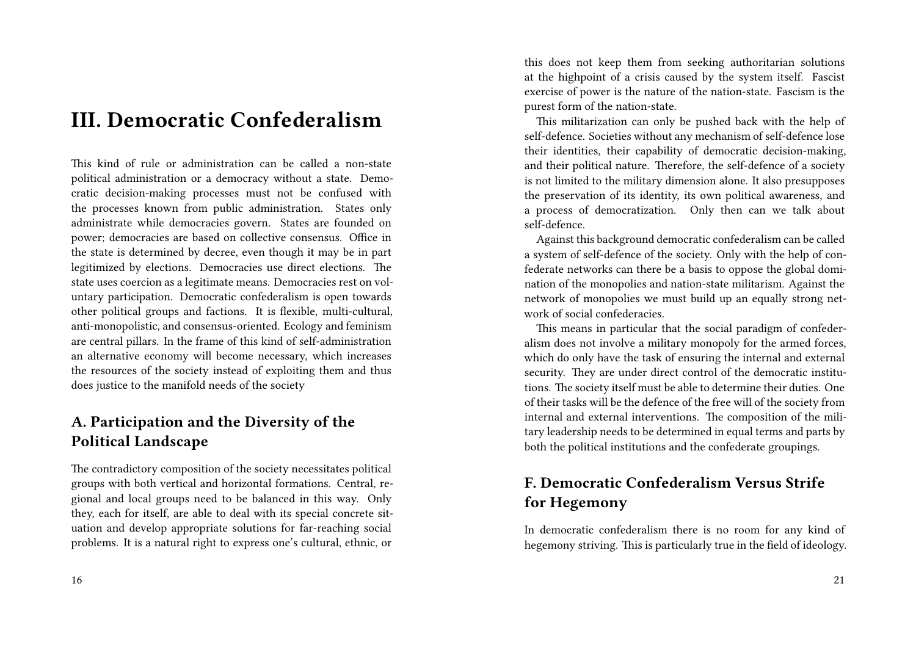# **III. Democratic Confederalism**

This kind of rule or administration can be called a non-state political administration or a democracy without a state. Democratic decision-making processes must not be confused with the processes known from public administration. States only administrate while democracies govern. States are founded on power; democracies are based on collective consensus. Office in the state is determined by decree, even though it may be in part legitimized by elections. Democracies use direct elections. The state uses coercion as a legitimate means. Democracies rest on voluntary participation. Democratic confederalism is open towards other political groups and factions. It is flexible, multi-cultural, anti-monopolistic, and consensus-oriented. Ecology and feminism are central pillars. In the frame of this kind of self-administration an alternative economy will become necessary, which increases the resources of the society instead of exploiting them and thus does justice to the manifold needs of the society

## **A. Participation and the Diversity of the Political Landscape**

The contradictory composition of the society necessitates political groups with both vertical and horizontal formations. Central, regional and local groups need to be balanced in this way. Only they, each for itself, are able to deal with its special concrete situation and develop appropriate solutions for far-reaching social problems. It is a natural right to express one's cultural, ethnic, or

this does not keep them from seeking authoritarian solutions at the highpoint of a crisis caused by the system itself. Fascist exercise of power is the nature of the nation-state. Fascism is the purest form of the nation-state.

This militarization can only be pushed back with the help of self-defence. Societies without any mechanism of self-defence lose their identities, their capability of democratic decision-making, and their political nature. Therefore, the self-defence of a society is not limited to the military dimension alone. It also presupposes the preservation of its identity, its own political awareness, and a process of democratization. Only then can we talk about self-defence.

Against this background democratic confederalism can be called a system of self-defence of the society. Only with the help of confederate networks can there be a basis to oppose the global domination of the monopolies and nation-state militarism. Against the network of monopolies we must build up an equally strong network of social confederacies.

This means in particular that the social paradigm of confederalism does not involve a military monopoly for the armed forces, which do only have the task of ensuring the internal and external security. They are under direct control of the democratic institutions. The society itself must be able to determine their duties. One of their tasks will be the defence of the free will of the society from internal and external interventions. The composition of the military leadership needs to be determined in equal terms and parts by both the political institutions and the confederate groupings.

## **F. Democratic Confederalism Versus Strife for Hegemony**

In democratic confederalism there is no room for any kind of hegemony striving. This is particularly true in the field of ideology.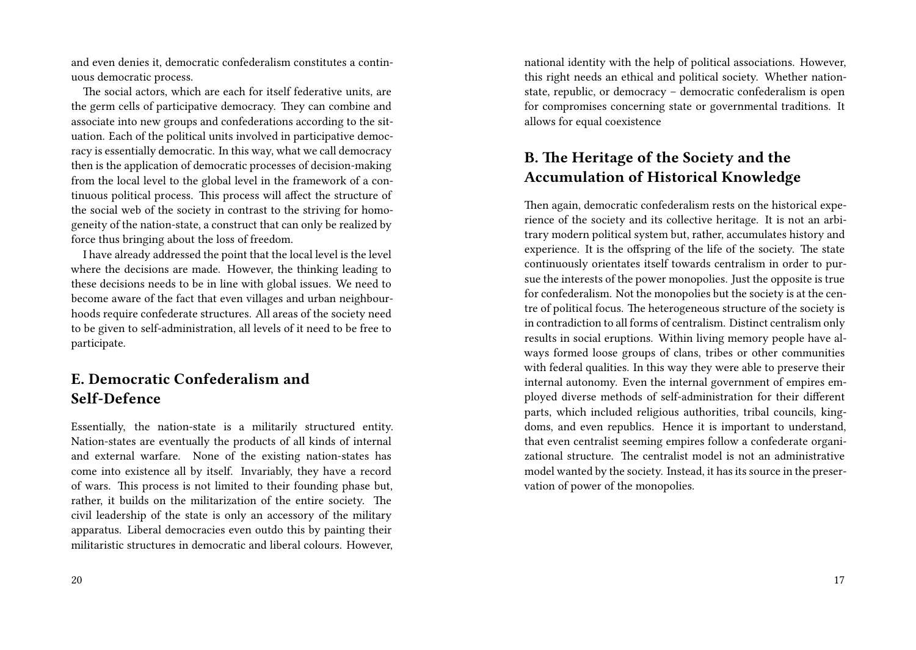and even denies it, democratic confederalism constitutes a continuous democratic process.

The social actors, which are each for itself federative units, are the germ cells of participative democracy. They can combine and associate into new groups and confederations according to the situation. Each of the political units involved in participative democracy is essentially democratic. In this way, what we call democracy then is the application of democratic processes of decision-making from the local level to the global level in the framework of a continuous political process. This process will affect the structure of the social web of the society in contrast to the striving for homogeneity of the nation-state, a construct that can only be realized by force thus bringing about the loss of freedom.

I have already addressed the point that the local level is the level where the decisions are made. However, the thinking leading to these decisions needs to be in line with global issues. We need to become aware of the fact that even villages and urban neighbourhoods require confederate structures. All areas of the society need to be given to self-administration, all levels of it need to be free to participate.

## **E. Democratic Confederalism and Self-Defence**

Essentially, the nation-state is a militarily structured entity. Nation-states are eventually the products of all kinds of internal and external warfare. None of the existing nation-states has come into existence all by itself. Invariably, they have a record of wars. This process is not limited to their founding phase but, rather, it builds on the militarization of the entire society. The civil leadership of the state is only an accessory of the military apparatus. Liberal democracies even outdo this by painting their militaristic structures in democratic and liberal colours. However, national identity with the help of political associations. However, this right needs an ethical and political society. Whether nationstate, republic, or democracy – democratic confederalism is open for compromises concerning state or governmental traditions. It allows for equal coexistence

## **B. The Heritage of the Society and the Accumulation of Historical Knowledge**

Then again, democratic confederalism rests on the historical experience of the society and its collective heritage. It is not an arbitrary modern political system but, rather, accumulates history and experience. It is the offspring of the life of the society. The state continuously orientates itself towards centralism in order to pursue the interests of the power monopolies. Just the opposite is true for confederalism. Not the monopolies but the society is at the centre of political focus. The heterogeneous structure of the society is in contradiction to all forms of centralism. Distinct centralism only results in social eruptions. Within living memory people have always formed loose groups of clans, tribes or other communities with federal qualities. In this way they were able to preserve their internal autonomy. Even the internal government of empires employed diverse methods of self-administration for their different parts, which included religious authorities, tribal councils, kingdoms, and even republics. Hence it is important to understand, that even centralist seeming empires follow a confederate organizational structure. The centralist model is not an administrative model wanted by the society. Instead, it has its source in the preservation of power of the monopolies.